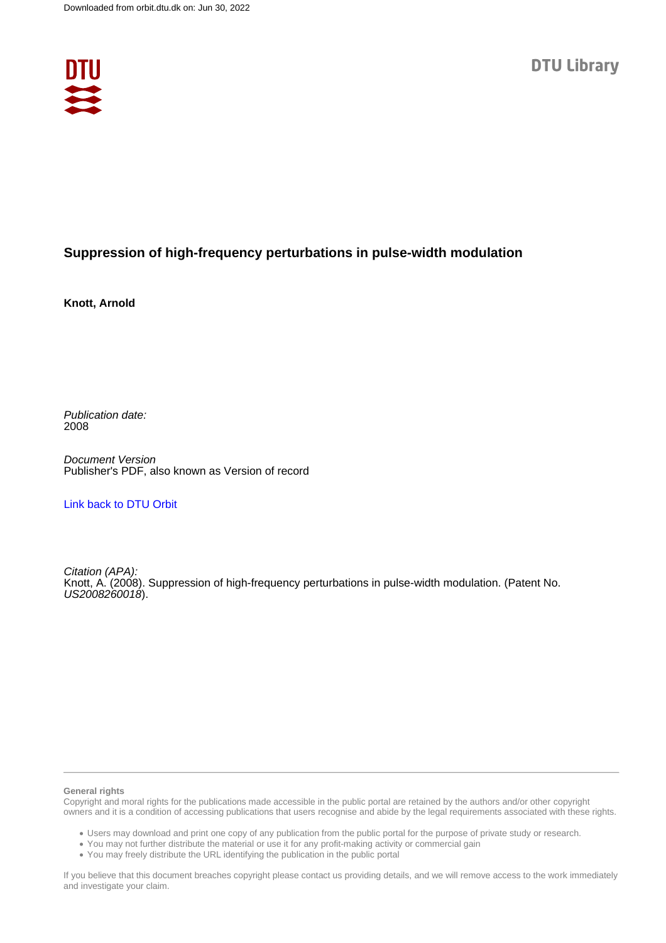

# **Suppression of high-frequency perturbations in pulse-width modulation**

**Knott, Arnold**

Publication date: 2008

Document Version Publisher's PDF, also known as Version of record

[Link back to DTU Orbit](https://orbit.dtu.dk/en/publications/27b72a68-d02b-4df9-8fd4-cf8ce8d422fa)

Citation (APA): Knott, A. (2008). Suppression of high-frequency perturbations in pulse-width modulation. (Patent No. US2008260018).

### **General rights**

Copyright and moral rights for the publications made accessible in the public portal are retained by the authors and/or other copyright owners and it is a condition of accessing publications that users recognise and abide by the legal requirements associated with these rights.

Users may download and print one copy of any publication from the public portal for the purpose of private study or research.

- You may not further distribute the material or use it for any profit-making activity or commercial gain
- You may freely distribute the URL identifying the publication in the public portal

If you believe that this document breaches copyright please contact us providing details, and we will remove access to the work immediately and investigate your claim.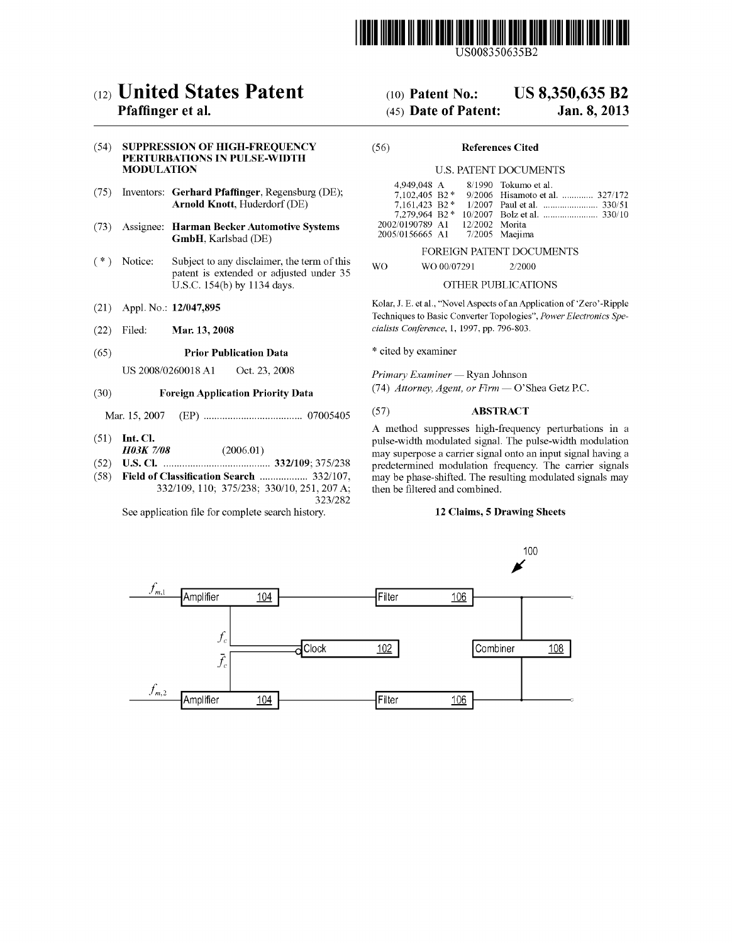

US008350635B2

# (12) United States Patent

## Pfaffinger et al.

### (54) SUPPRESSION OF HIGH-FREQUENCY PERTURBATIONS IN PULSE-WIDTH **MODULATION**

- (75) Inventors: Gerhard Pfaffinger, Regensburg (DE); Arnold Knott, Huderdorf (DE)
- $(73)$ **Assignee: Harman Becker Automotive Systems** GmbH, Karlsbad (DE)
- $(* )$  Notice: Subject to any disclaimer, the term of this patent is extended or adjusted under 35 U.S.C. 154(b) by 1134 days.
- (21) Appl. No.: 12/047,895
- $(22)$ Filed: Mar. 13, 2008

#### $(65)$ **Prior Publication Data**

US 2008/0260018 A1 Oct. 23, 2008

#### $(30)$ **Foreign Application Priority Data**

Mar. 15, 2007

- $(51)$  Int. Cl.
- **H03K 7/08**  $(2006.01)$
- $(52)$
- (58) Field of Classification Search .................. 332/107, 332/109, 110; 375/238; 330/10, 251, 207 A; 323/282

See application file for complete search history.

#### US 8,350,635 B2  $(10)$  Patent No.:

#### (45) Date of Patent: Jan. 8, 2013

#### $(56)$ **References Cited**

#### **U.S. PATENT DOCUMENTS**

| 4.949.048 A                             |  | $8/1990$ Tokumo et al.          |
|-----------------------------------------|--|---------------------------------|
| $7.102.405$ B <sub>2</sub> <sup>*</sup> |  | 9/2006 Hisamoto et al.  327/172 |
| $7.161.423 B2*$                         |  |                                 |
|                                         |  |                                 |
| 2002/0190789 A1 12/2002 Morita          |  |                                 |
| 2005/0156665 A1 7/2005 Maejima          |  |                                 |

#### FOREIGN PATENT DOCUMENTS

**WO** WO 00/07291 2/2000

### OTHER PUBLICATIONS

Kolar, J. E. et al., "Novel Aspects of an Application of 'Zero'-Ripple Techniques to Basic Converter Topologies", Power Electronics Specialists Conference, 1, 1997, pp. 796-803.

\* cited by examiner

Primary Examiner - Ryan Johnson (74) Attorney, Agent, or Firm - O'Shea Getz P.C.

#### $(57)$ **ABSTRACT**

A method suppresses high-frequency perturbations in a pulse-width modulated signal. The pulse-width modulation may superpose a carrier signal onto an input signal having a predetermined modulation frequency. The carrier signals may be phase-shifted. The resulting modulated signals may then be filtered and combined.

### 12 Claims, 5 Drawing Sheets

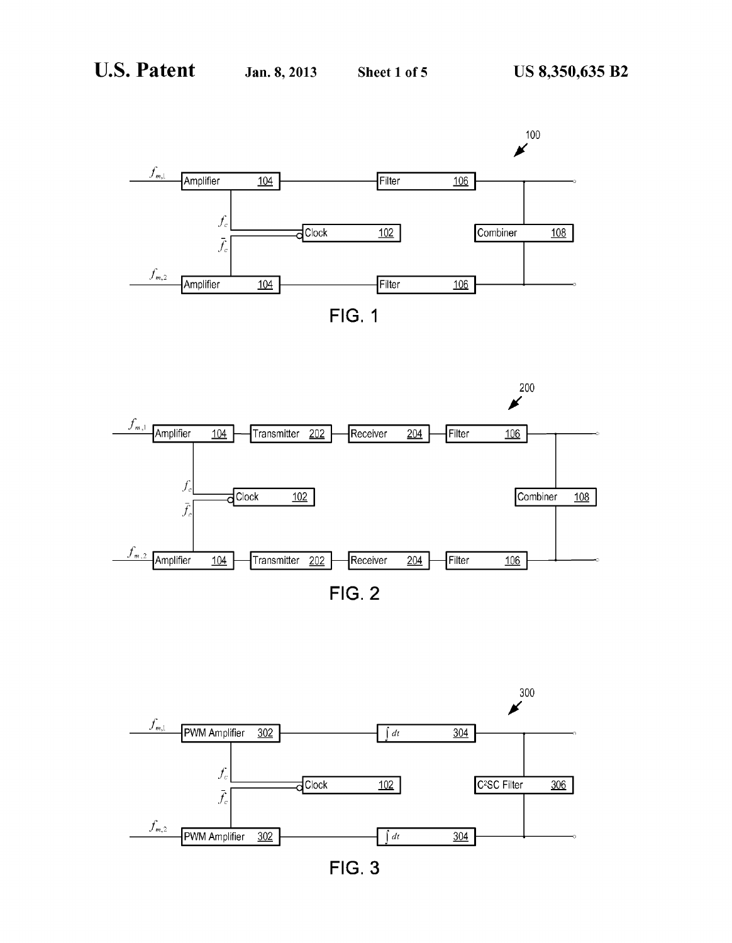





**FIG. 3**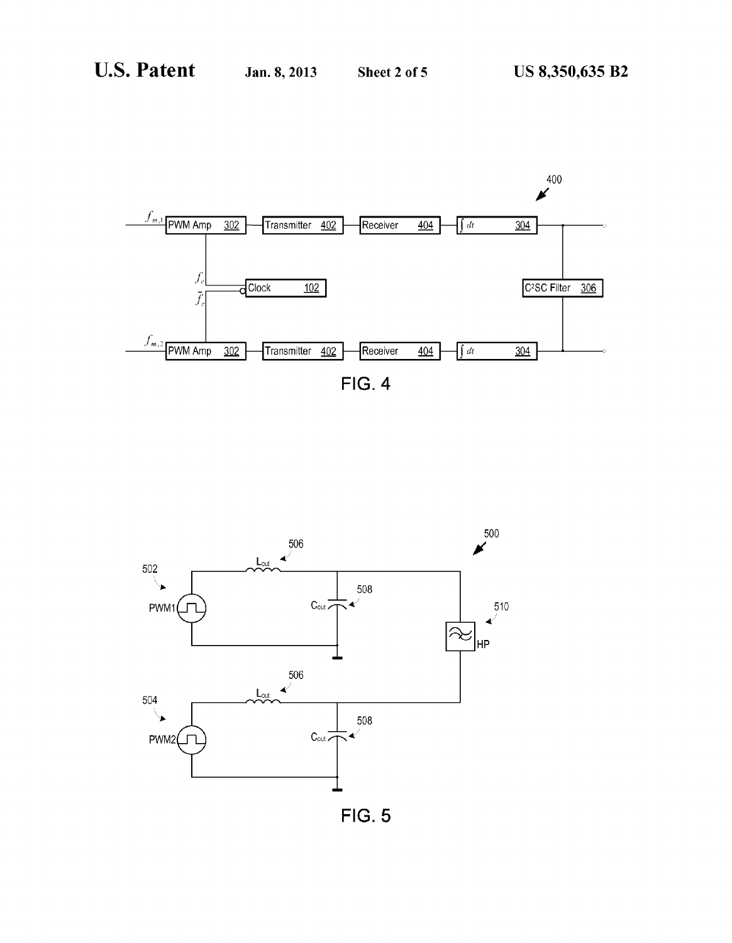



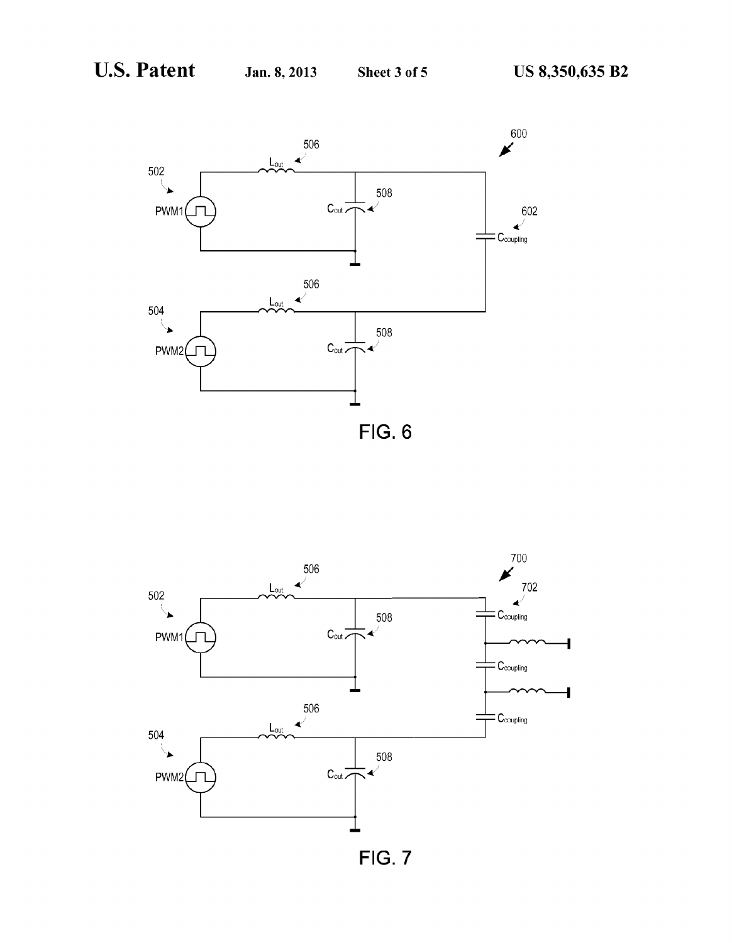



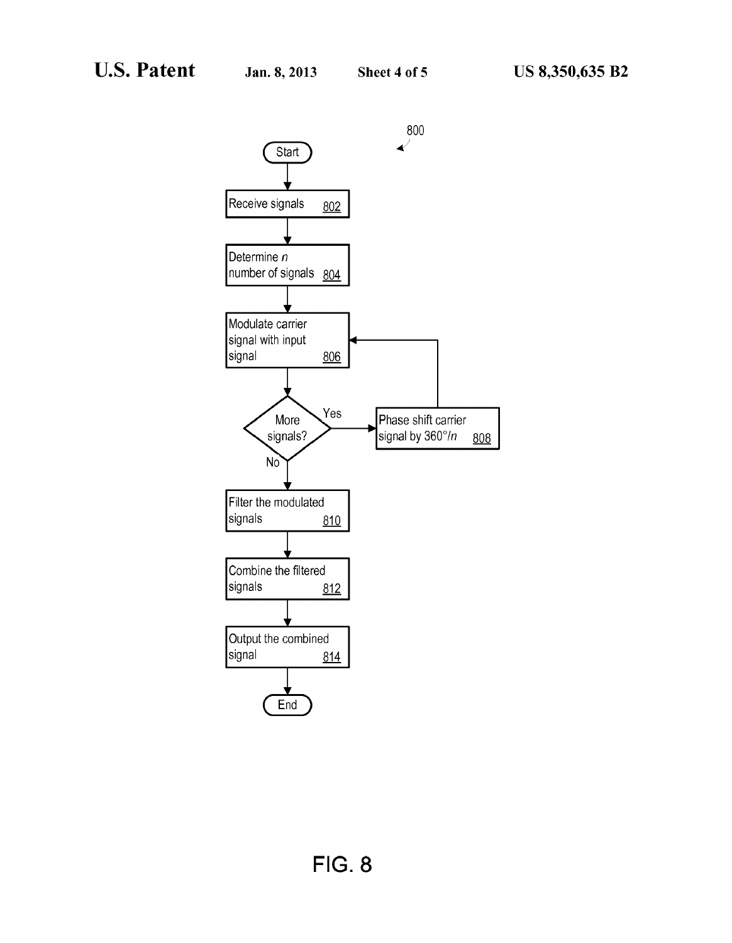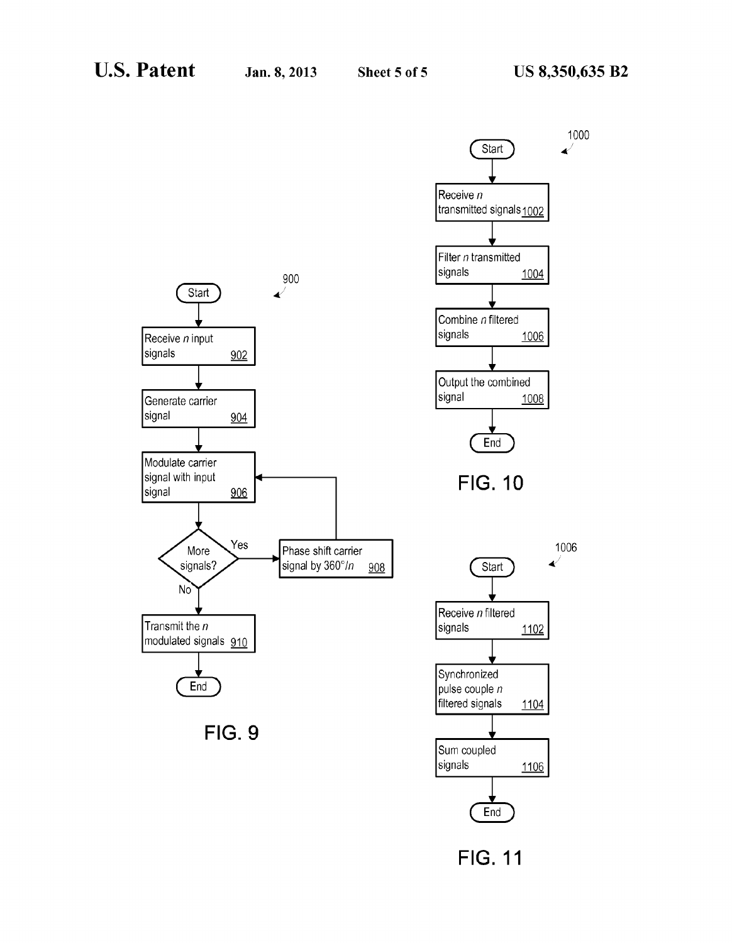

FIG. 11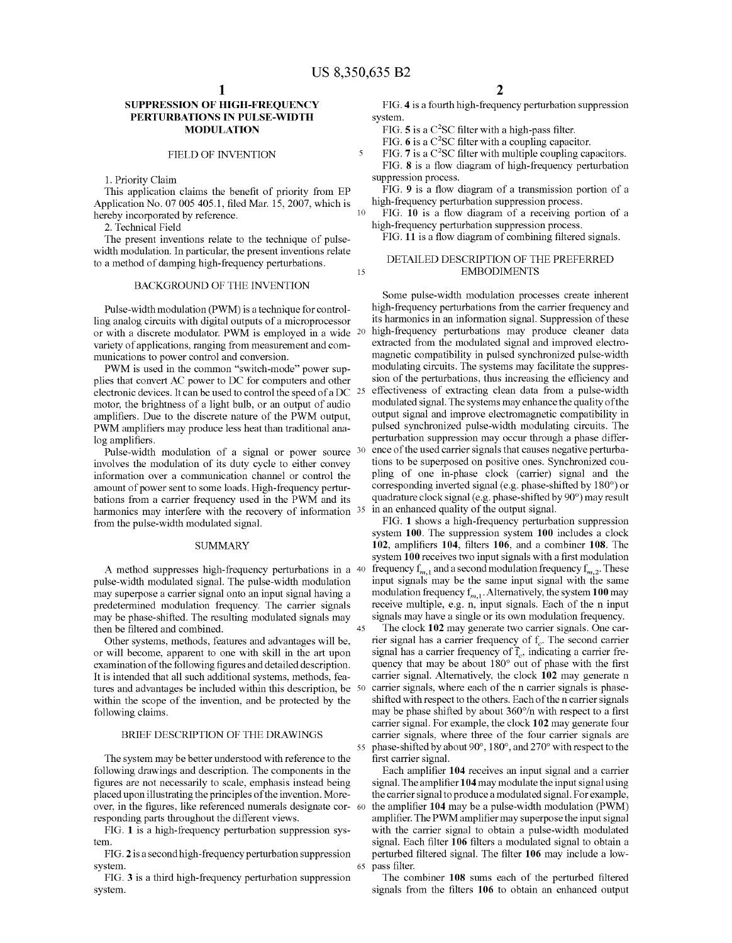5

15

55

65

### SUPPRESSION OF HIGH-FREQUENCY PERTURBATIONS IN PULSE-WIDTH MODULATION

#### FIELD OF INVENTION

1. Priority Claim

This application claims the benefit of priority from EP Application No. 07 005 405.1, filed Mar. 15, 2007, which is hereby incorporated by reference.

2. Technical Field

The present inventions relate to the technique of pulse width modulation. In particular, the present inventions relate to a method of damping high-frequency perturbations.

#### BACKGROUND OF THE INVENTION

Pulse-width modulation (PWM) is a technique for controlling analog circuits with digital outputs of a microprocessor ling analog circuits with digital outputs of a microprocessor<br>or with a discrete modulator. PWM is employed in a wide <sup>20</sup> variety of applications, ranging from measurement and com munications to power control and conversion.

PWM is used in the common "switch-mode" power supplies that convert AC power to DC for computers and other electronic devices. It can be used to control the speed of a DC <sup>25</sup> motor, the brightness of a light bulb, or an output of audio amplifiers. Due to the discrete nature of the PWM output, PWM amplifiers may produce less heat than traditional analog amplifiers.

Pulse-width modulation of a signal or power source <sup>30</sup> involves the modulation of its duty cycle to either convey information over a communication channel or control the amount of poWer sent to some loads. High-frequency pertur bations from a carrier frequency used in the PWM and its harmonics may interfere with the recovery of information  $35$ from the pulse-Width modulated signal.

#### **SUMMARY**

A method suppresses high-frequency perturbations in a 40 pulse-Width modulated signal. The pulse-Width modulation may superpose a carrier signal onto an input signal having a predetermined modulation frequency. The carrier signals may be phase-shifted. The resulting modulated signals may then be filtered and combined. 45

Other systems, methods, features and advantages Will be, or Will become, apparent to one With skill in the art upon examination of the following figures and detailed description. It is intended that all such additional systems, methods, fea tures and advantages be included Within this description, be 50 within the scope of the invention, and be protected by the folloWing claims.

### BRIEF DESCRIPTION OF THE DRAWINGS

The system may be better understood With reference to the following drawings and description. The components in the figures are not necessarily to scale, emphasis instead being placed upon illustrating the principles of the invention. More over, in the figures, like referenced numerals designate cor- 60 responding parts throughout the different views.

FIG. 1 is a high-frequency perturbation suppression sys tem.

FIG. 2 is a second high-frequency perturbation suppression system.

FIG. 3 is a third high-frequency perturbation suppression system.

FIG. 4 is a fourth high-frequency perturbation suppression system.

FIG.  $5$  is a C<sup>2</sup>SC filter with a high-pass filter.

FIG. 6 is a  $C^2SC$  filter with a coupling capacitor.

FIG. 7 is a C<sup>2</sup>SC filter with multiple coupling capacitors. FIG. 8 is a How diagram of high-frequency perturbation suppression process.

FIG. 9 is a How diagram of a transmission portion of a high-frequency perturbation suppression process.

FIG. 10 is a How diagram of a receiving portion of a high-frequency perturbation suppression process.

FIG. 11 is a flow diagram of combining filtered signals.

### DETAILED DESCRIPTION OF THE PREFERRED EMBODIMENTS

Some pulse-Width modulation processes create inherent high-frequency perturbations from the carrier frequency and its harmonics in an information signal. Suppression of these high-frequency perturbations may produce cleaner data extracted from the modulated signal and improved electro magnetic compatibility in pulsed synchronized pulse-Width modulating circuits. The systems may facilitate the suppres sion of the perturbations, thus increasing the efficiency and effectiveness of extracting clean data from a pulse-Width modulated signal. The systems may enhance the quality of the output signal and improve electromagnetic compatibility in pulsed synchronized pulse-Width modulating circuits. The perturbation suppression may occur through a phase differ ence of the used carrier signals that causes negative perturba tions to be superposed on positive ones. Synchronized cou pling of one in-phase clock (carrier) signal and the corresponding inverted signal (e.g. phase-shifted by 180°) or quadrature clock signal (e.g. phase-shifted by 90°) may result in an enhanced quality of the output signal.

FIG. 1 shows a high-frequency perturbation suppression system 100. The suppression system 100 includes a clock  $102$ , amplifiers  $104$ , filters  $106$ , and a combiner  $108$ . The system 100 receives two input signals with a first modulation frequency  $f_{m,1}$  and a second modulation frequency  $f_{m,2}$ . These input signals may be the same input signal With the same modulation frequency  $f_{m,1}$ . Alternatively, the system 100 may receive multiple, e.g. n, input signals. Each of the n input signals may have a single or its own modulation frequency.

The clock 102 may generate two carrier signals. One carrier signal has a carrier frequency of  $f_c$ . The second carrier signal has a carrier frequency of  $f<sub>c</sub>$ , indicating a carrier frequency that may be about  $180^\circ$  out of phase with the first carrier signal. Alternatively, the clock 102 may generate n carrier signals, Where each of the n carrier signals is phase shifted With respect to the others. Each of the n carrier signals may be phase shifted by about  $360^{\circ}/n$  with respect to a first carrier signal. For example, the clock 102 may generate four carrier signals, Where three of the four carrier signals are phase-shifted by about 90°, 180°, and 270° With respect to the first carrier signal.

Each amplifier 104 receives an input signal and a carrier signal. The amplifier 104 may modulate the input signal using the carrier signal to produce a modulated signal. For example, the amplifier 104 may be a pulse-width modulation (PWM) amplifier. The PWM amplifier may superpose the input signal with the carrier signal to obtain a pulse-width modulated signal. Each filter 106 filters a modulated signal to obtain a perturbed filtered signal. The filter 106 may include a lowpass filter.

The combiner 108 sums each of the perturbed filtered signals from the filters 106 to obtain an enhanced output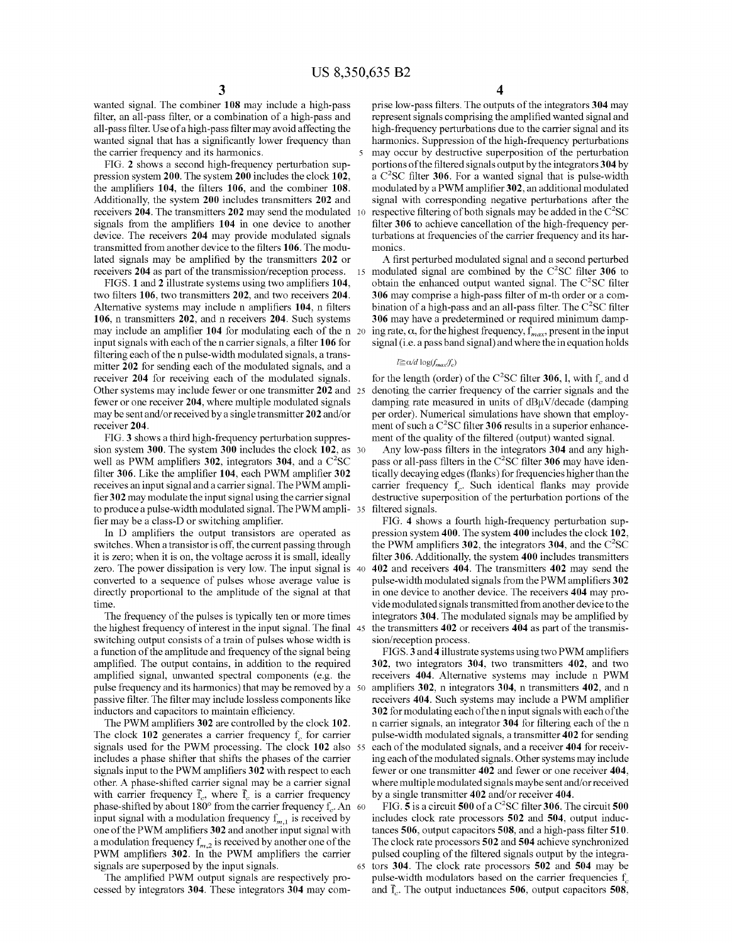15

wanted signal. The combiner 108 may include a high-pass filter, an all-pass filter, or a combination of a high-pass and all-pass filter. Use of a high-pass filter may avoid affecting the wanted signal that has a significantly lower frequency than the carrier frequency and its harmonics.

FIG. 2 shows a second high-frequency perturbation suppression system 200. The system 200 includes the clock 102, the amplifiers  $104$ , the filters  $106$ , and the combiner  $108$ . Additionally, the system 200 includes transmitters 202 and receivers 204. The transmitters 202 may send the modulated 10 signals from the amplifiers 104 in one device to another device. The receivers 204 may provide modulated signals transmitted from another device to the filters 106. The modulated signals may be amplified by the transmitters 202 or receivers 204 as part of the transmission/reception process.

FIGS. 1 and 2 illustrate systems using two amplifiers 104, two filters 106, two transmitters 202, and two receivers 204. Alternative systems may include n amplifiers 104, n filters 106, n transmitters 202, and n receivers 204. Such systems may include an amplifier 104 for modulating each of the n 20 input signals with each of the n carrier signals, a filter 106 for filtering each of the n pulse-width modulated signals, a transmitter 202 for sending each of the modulated signals, and a receiver 204 for receiving each of the modulated signals. Other systems may include fewer or one transmitter 202 and 25 fewer or one receiver 204, where multiple modulated signals may be sent and/or received by a single transmitter 202 and/or receiver 204.

FIG. 3 shoWs a third high-frequency perturbation suppres sion system 300. The system 300 includes the clock 102, as 30 well as PWM amplifiers 302, integrators 304, and a  $C<sup>2</sup>SC$ filter 306. Like the amplifier 104, each PWM amplifier  $302$ receives an input signal and a carrier signal. The PWM ampli fier 302 may modulate the input signal using the carrier signal to produce a pulse-width modulated signal. The PWM ampli- 35 fier may be a class-D or switching amplifier.

In D amplifiers the output transistors are operated as switches. When a transistor is off, the current passing through it is Zero; When it is on, the voltage across it is small, ideally Zero. The poWer dissipation is very loW. The input signal is 40 converted to a sequence of pulses Whose average value is directly proportional to the amplitude of the signal at that time.

The frequency of the pulses is typically ten or more times the highest frequency of interest in the input signal. The final 45 switching output consists of a train of pulses whose width is a function of the amplitude and frequency of the signal being amplified. The output contains, in addition to the required amplified signal, unwanted spectral components (e.g. the pulse frequency and its harmonics) that may be removed by a 50 passive filter. The filter may include lossless components like inductors and capacitors to maintain efficiency.

The PWM amplifiers  $302$  are controlled by the clock  $102$ . The clock 102 generates a carrier frequency  $f_c$  for carrier signals used for the PWM processing. The clock 102 also 55 includes a phase shifter that shifts the phases of the carrier signals input to the PWM amplifiers 302 with respect to each other. A phase-shifted carrier signal may be a carrier signal with carrier frequency  $f_c$ , where  $f_c$  is a carrier frequency phase-shifted by about  $180^{\circ}$  from the carrier frequency  $f_c$ . An 60 input signal with a modulation frequency  $f_{m,1}$  is received by one of the PWM amplifiers 302 and another input signal with a modulation frequency  $f_{m,2}$  is received by another one of the PWM amplifiers 302. In the PWM amplifiers the carrier signals are superposed by the input signals.

The amplified PWM output signals are respectively processed by integrators 304. These integrators 304 may com 4

prise low-pass filters. The outputs of the integrators 304 may represent signals comprising the amplified wanted signal and high-frequency perturbations due to the carrier signal and its harmonics. Suppression of the high-frequency perturbations may occur by destructive superposition of the perturbation portions of the filtered signals output by the integrators 304 by a  $C<sup>2</sup>SC$  filter 306. For a wanted signal that is pulse-width modulated by a PWM amplifier 302, an additional modulated signal With corresponding negative perturbations after the respective filtering of both signals may be added in the  $C<sup>2</sup>SC$ filter 306 to achieve cancellation of the high-frequency perturbations at frequencies of the carrier frequency and its har monics.

A first perturbed modulated signal and a second perturbed modulated signal are combined by the  $C<sup>2</sup>SC$  filter 306 to obtain the enhanced output wanted signal. The  $C<sup>2</sup>SC$  filter 306 may comprise a high-pass filter of m-th order or a combination of a high-pass and an all-pass filter. The  $C<sup>2</sup>SC$  filter 306 may have a predetermined or required minimum damp ing rate,  $\alpha$ , for the highest frequency,  $f_{max}$ , present in the input signal (i.e. a pass band signal) and Where the in equation holds

#### $l \ge \alpha/d \log(f_{max}/f_c)$

for the length (order) of the C<sup>2</sup>SC filter 306, 1, with  $f_c$  and d denoting the carrier frequency of the carrier signals and the damping rate measured in units of dBuV/decade (damping per order). Numerical simulations have shown that employment of such a  $C<sup>2</sup>SC$  filter 306 results in a superior enhancement of the quality of the filtered (output) wanted signal.

Any low-pass filters in the integrators 304 and any highpass or all-pass filters in the  $C^2SC$  filter 306 may have identically decaying edges (flanks) for frequencies higher than the carrier frequency  $f_c$ . Such identical flanks may provide destructive superposition of the perturbation portions of the filtered signals.

FIG. 4 shows a fourth high-frequency perturbation suppression system 400. The system 400 includes the clock 102, the PWM amplifiers 302, the integrators 304, and the  $C<sup>2</sup>SC$ filter 306. Additionally, the system 400 includes transmitters 402 and receivers 404. The transmitters 402 may send the pulse-width modulated signals from the PWM amplifiers 302 in one device to another device. The receivers 404 may pro vide modulated signals transmitted from another device to the integrators 304. The modulated signals may be amplified by the transmitters 402 or receivers 404 as part of the transmis sion/reception process.

FIGS. 3 and 4 illustrate systems using two PWM amplifiers 302, tWo integrators 304, tWo transmitters 402, and tWo receivers 404. Alternative systems may include n PWM amplifiers 302, n integrators 304, n transmitters 402, and n receivers 404. Such systems may include a PWM amplifier 3 02 for modulating each of the n input signals With each of the n carrier signals, an integrator 304 for filtering each of the n pulse-Width modulated signals, a transmitter 402 for sending each of the modulated signals, and a receiver 404 for receiv ing each of the modulated signals. Other systems may include fewer or one transmitter 402 and fewer or one receiver 404, where multiple modulated signals maybe sent and/or received by a single transmitter 402 and/or receiver 404.

FIG. 5 is a circuit 500 of a  $C^2SC$  filter 306. The circuit 500 includes clock rate processors 502 and 504, output induc tances  $506$ , output capacitors  $508$ , and a high-pass filter  $510$ . The clock rate processors 502 and 504 achieve synchronized pulsed coupling of the filtered signals output by the integrators 304. The clock rate processors 502 and 504 may be pulse-width modulators based on the carrier frequencies  $f_c$ and  $\bar{f}_c$ . The output inductances 506, output capacitors 508,

65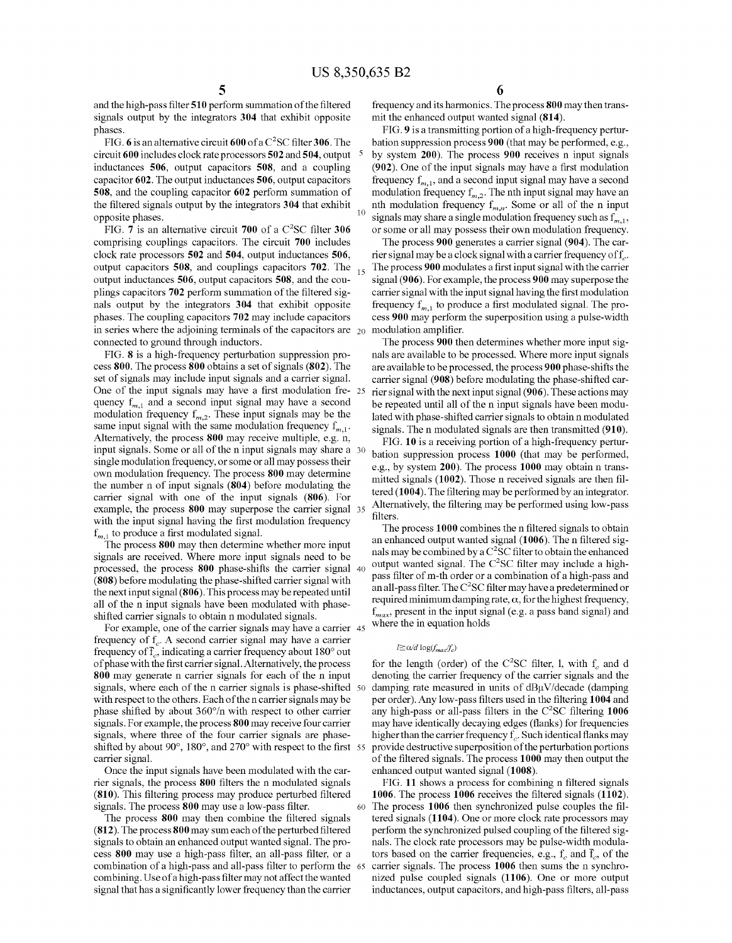and the high-pass filter 510 perform summation of the filtered signals output by the integrators 304 that exhibit opposite phases.

FIG. 6 is an alternative circuit 600 of a  $C<sup>2</sup>SC$  filter 306. The circuit 600 includes clock rate processors 502 and 504, output inductances 506, output capacitors 508, and a coupling capacitor 602. The output inductances 506, output capacitors 508, and the coupling capacitor 602 perform summation of the filtered signals output by the integrators 304 that exhibit opposite phases.

FIG. 7 is an alternative circuit 700 of a  $C<sup>2</sup>SC$  filter 306 comprising couplings capacitors. The circuit 700 includes clock rate processors 502 and 504, output inductances 506, output capacitors 508, and couplings capacitors 702. The  $_{15}$ output inductances 506, output capacitors 508, and the cou plings capacitors 702 perform summation of the filtered signals output by the integrators 304 that exhibit opposite phases. The coupling capacitors 702 may include capacitors in series where the adjoining terminals of the capacitors are  $_{20}$ connected to ground through inductors.

FIG. 8 is a high-frequency perturbation suppression pro cess 800. The process 800 obtains a set of signals (802). The set of signals may include input signals and a carrier signal. One of the input signals may have a first modulation fre- 25 quency  $f_{m-1}$  and a second input signal may have a second modulation frequency  $f_{m,2}$ . These input signals may be the same input signal with the same modulation frequency  $f_{m,1}$ . Alternatively, the process 800 may receive multiple, e.g. n, input signals. Some or all of the n input signals may share a 30 single modulation frequency, or some or all may possess their oWn modulation frequency. The process 800 may determine the number n of input signals (804) before modulating the carrier signal With one of the input signals (806). For example, the process 800 may superpose the carrier signal 35 with the input signal having the first modulation frequency  $f_{m,1}$  to produce a first modulated signal.

The process 800 may then determine Whether more input signals are received. Where more input signals need to be processed, the process 800 phase-shifts the carrier signal 40 (808) before modulating the phase-shifted carrier signal With the next input signal (806). This process may be repeated until all of the n input signals have been modulated With phase shifted carrier signals to obtain n modulated signals.

For example, one of the carrier signals may have a carrier 45 frequency of  $f_c$ . A second carrier signal may have a carrier frequency of  $f_c$ , indicating a carrier frequency about 180 $^{\circ}$  out of phase with the first carrier signal. Alternatively, the process 800 may generate n carrier signals for each of the n input signals, Where each of the n carrier signals is phase-shifted 50 with respect to the others. Each of the n carrier signals may be phase shifted by about 360°/n With respect to other carrier signals. For example, the process 800 may receive four carrier signals, Where three of the four carrier signals are phase shifted by about  $90^{\circ}$ , 180 $^{\circ}$ , and  $270^{\circ}$  with respect to the first 55 carrier signal.

Once the input signals have been modulated With the car rier signals, the process 800 filters the n modulated signals  $(810)$ . This filtering process may produce perturbed filtered signals. The process 800 may use a low-pass filter.

The process 800 may then combine the filtered signals  $(812)$ . The process  $800$  may sum each of the perturbed filtered signals to obtain an enhanced output Wanted signal. The pro cess 800 may use a high-pass filter, an all-pass filter, or a combination of a high-pass and all-pass filter to perform the combining. Use of a high-pass filter may not affect the wanted signal that has a significantly lower frequency than the carrier

frequency and its harmonics. The process 800 may then trans mit the enhanced output Wanted signal (814).

FIG. 9 is a transmitting portion of a high-frequency pertur bation suppression process 900 (that may be performed, e.g., by system 200). The process 900 receives n input signals  $(902)$ . One of the input signals may have a first modulation frequency  $f_{m,1}$ , and a second input signal may have a second modulation frequency  $f_{m,2}$ . The nth input signal may have an nth modulation frequency  $f_{m,n}$ . Some or all of the n input signals may share a single modulation frequency such as  $f_{m,1}$ , or some or all may possess their oWn modulation frequency.

The process 900 generates a carrier signal (904). The car rier signal may be a clock signal with a carrier frequency of  $f_c$ . The process 900 modulates a first input signal with the carrier signal (906). For example, the process 900 may superpose the carrier signal with the input signal having the first modulation frequency  $f_{m,1}$  to produce a first modulated signal. The process 900 may perform the superposition using a pulse-Width modulation amplifier.

The process 900 then determines Whether more input sig nals are available to be processed. Where more input signals are available to be processed, the process 900 phase-shifts the carrier signal (908) before modulating the phase-shifted car rier signal With the next input signal (906). These actions may be repeated until all of the n input signals have been modu lated With phase-shifted carrier signals to obtain n modulated signals. The n modulated signals are then transmitted (910).

FIG. 10 is a receiving portion of a high-frequency pertur bation suppression process 1000 (that may be performed, e.g., by system 200). The process 1000 may obtain n trans mitted signals  $(1002)$ . Those n received signals are then filtered (1004). The filtering may be performed by an integrator. Alternatively, the filtering may be performed using low-pass filters.

The process 1000 combines the n filtered signals to obtain an enhanced output wanted signal  $(1006)$ . The n filtered signals may be combined by a  $C<sup>2</sup>SC$  filter to obtain the enhanced output wanted signal. The  $C^2SC$  filter may include a highpass filter of m-th order or a combination of a high-pass and an all-pass filter. The C<sup>2</sup>SC filter may have a predetermined or required minimum damping rate,  $\alpha$ , for the highest frequency,  $f_{max}$ , present in the input signal (e.g. a pass band signal) and Where the in equation holds

#### $l \ge \alpha/d \log(f_{max}/f_c)$

65

for the length (order) of the C<sup>2</sup>SC filter, 1, with  $f_c$  and d denoting the carrier frequency of the carrier signals and the damping rate measured in units of dBuV/decade (damping per order). Any low-pass filters used in the filtering 1004 and any high-pass or all-pass filters in the  $C^2SC$  filtering 1006 may have identically decaying edges (flanks) for frequencies higher than the carrier frequency  $f_c$ . Such identical flanks may provide destructive superposition of the perturbation portions of the filtered signals. The process 1000 may then output the enhanced output Wanted signal (1008).

60 The process 1006 then synchronized pulse couples the fil-FIG. 11 shows a process for combining n filtered signals 1006. The process  $1006$  receives the filtered signals  $(1102)$ . tered signals (1104). One or more clock rate processors may perform the synchronized pulsed coupling of the filtered signals. The clock rate processors may be pulse-width modulators based on the carrier frequencies, e.g.,  $f_c$  and  $\bar{f}_c$ , of the carrier signals. The process 1006 then sums the n synchro nized pulse coupled signals (1106). One or more output inductances, output capacitors, and high-pass filters, all-pass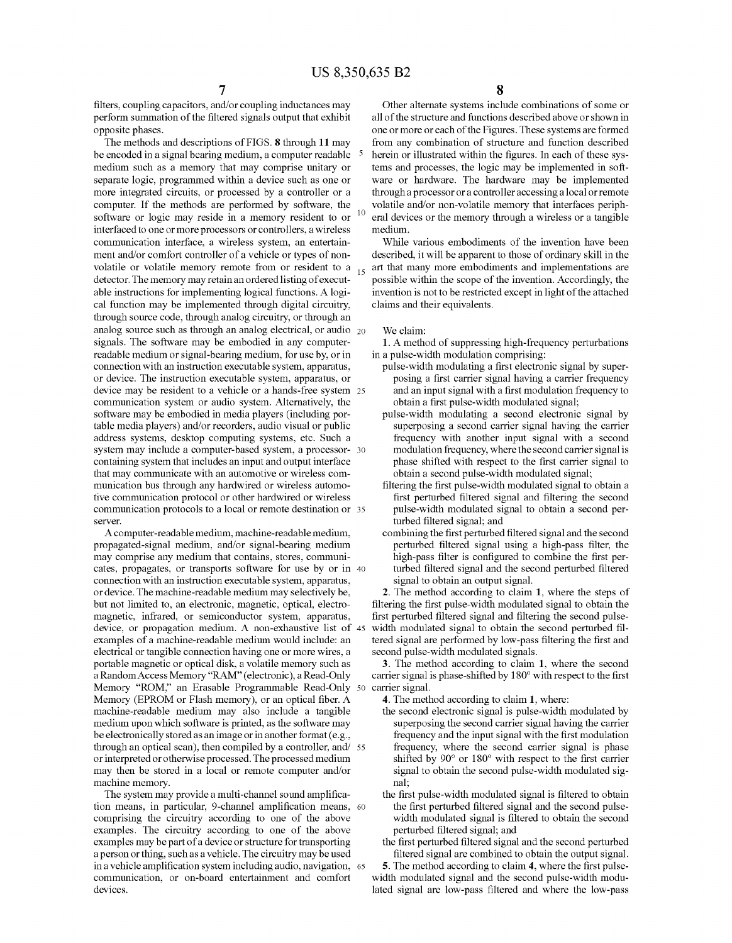filters, coupling capacitors, and/or coupling inductances may perform summation of the filtered signals output that exhibit opposite phases.

The methods and descriptions of FIGS. 8 through 11 may be encoded in a signal bearing medium, a computer readable medium such as a memory that may comprise unitary or separate logic, programmed Within a device such as one or more integrated circuits, or processed by a controller or a computer. If the methods are performed by software, the softWare or logic may reside in a memory resident to or interfaced to one or more processors or controllers, a Wireless communication interface, a Wireless system, an entertain ment and/or comfort controller of a vehicle or types of non volatile or volatile memory remote from or resident to a  $_{15}$ detector. The memory may retain an ordered listing of execut able instructions for implementing logical functions. A logi cal function may be implemented through digital circuitry, through source code, through analog circuitry, or through an analog source such as through an analog electrical, or audio 20 signals. The software may be embodied in any computerreadable medium or signal-bearing medium, for use by, or in connection With an instruction executable system, apparatus, or device. The instruction executable system, apparatus, or device may be resident to a vehicle or a hands-free system 25 communication system or audio system. Alternatively, the software may be embodied in media players (including portable media players) and/or recorders, audio visual or public address systems, desktop computing systems, etc. Such a system may include a computer-based system, a processor- 30 containing system that includes an input and output interface that may communicate With an automotive or Wireless com munication bus through any hardwired or wireless automotive communication protocol or other hardwired or wireless communication protocols to a local or remote destination or 35 server.

A computer-readable medium, machine-readable medium, propagated-signal medium, and/or signal-bearing medium may comprise any medium that contains, stores, communi cates, propagates, or transports softWare for use by or in 40 connection With an instruction executable system, apparatus, or device. The machine-readable medium may selectively be, but not limited to, an electronic, magnetic, optical, electro magnetic, infrared, or semiconductor system, apparatus, device, or propagation medium. A non-exhaustive list of examples of a machine-readable medium Would include: an electrical or tangible connection having one or more Wires, a portable magnetic or optical disk, a volatile memory such as a RandomAccess Memory "RAM" (electronic), a Read-Only Memory "ROM," an Erasable Programmable Read-Only 50 carrier signal. Memory (EPROM or Flash memory), or an optical fiber. A machine-readable medium may also include a tangible medium upon which software is printed, as the software may be electronically stored as an image or in another format (e.g., or interpreted or otherwise processed. The processed medium may then be stored in a local or remote computer and/or machine memory. through an optical scan), then compiled by a controller, and/ 55

The system may provide a multi-channel sound amplification means, in particular, 9-channel amplification means, 60 comprising the circuitry according to one of the above examples. The circuitry according to one of the above examples may be part of a device or structure for transporting a person or thing, such as a vehicle. The circuitry may be used in a vehicle ampli?cation system including audio, navigation, 65 communication, or on-board entertainment and comfort devices.

8

Other alternate systems include combinations of some or all of the structure and functions described above or shoWn in one or more or each of the Figures. These systems are formed from any combination of structure and function described herein or illustrated within the figures. In each of these systems and processes, the logic may be implemented in soft ware or hardware. The hardware may be implemented through a processor or a controller accessing a local or remote volatile and/or non-volatile memory that interfaces periph eral devices or the memory through a Wireless or a tangible medium.

While various embodiments of the invention have been described, it Will be apparent to those of ordinary skill in the art that many more embodiments and implementations are possible Within the scope of the invention. Accordingly, the invention is not to be restricted except in light of the attached claims and their equivalents.

We claim:

1. A method of suppressing high-frequency perturbations in a pulse-Width modulation comprising:

- pulse-width modulating a first electronic signal by superposing a first carrier signal having a carrier frequency and an input signal with a first modulation frequency to obtain a first pulse-width modulated signal;
- pulse-Width modulating a second electronic signal by superposing a second carrier signal having the carrier frequency With another input signal With a second modulation frequency, Where the second carrier signal is phase shifted with respect to the first carrier signal to obtain a second pulse-Width modulated signal;
- filtering the first pulse-width modulated signal to obtain a first perturbed filtered signal and filtering the second pulse-Width modulated signal to obtain a second per turbed filtered signal; and
- combining the first perturbed filtered signal and the second perturbed filtered signal using a high-pass filter, the high-pass filter is configured to combine the first perturbed filtered signal and the second perturbed filtered signal to obtain an output signal.

2. The method according to claim 1, Where the steps of filtering the first pulse-width modulated signal to obtain the first perturbed filtered signal and filtering the second pulsewidth modulated signal to obtain the second perturbed filtered signal are performed by low-pass filtering the first and second pulse-Width modulated signals.

3. The method according to claim 1, Where the second carrier signal is phase-shifted by  $180^\circ$  with respect to the first

4. The method according to claim 1, Where:

- the second electronic signal is pulse-Width modulated by superposing the second carrier signal having the carrier frequency and the input signal with the first modulation frequency, Where the second carrier signal is phase shifted by  $90^{\circ}$  or  $180^{\circ}$  with respect to the first carrier signal to obtain the second pulse-Width modulated sig nal;
- the first pulse-width modulated signal is filtered to obtain the first perturbed filtered signal and the second pulsewidth modulated signal is filtered to obtain the second perturbed filtered signal; and
- the first perturbed filtered signal and the second perturbed filtered signal are combined to obtain the output signal.

5. The method according to claim 4, where the first pulsewidth modulated signal and the second pulse-width modulated signal are low-pass filtered and where the low-pass